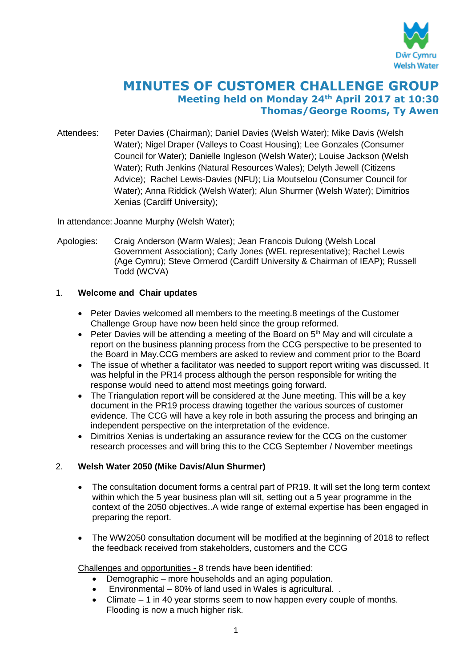

# **MINUTES OF CUSTOMER CHALLENGE GROUP Meeting held on Monday 24th April 2017 at 10:30 Thomas/George Rooms, Ty Awen**

Attendees: Peter Davies (Chairman); Daniel Davies (Welsh Water); Mike Davis (Welsh Water); Nigel Draper (Valleys to Coast Housing); Lee Gonzales (Consumer Council for Water); Danielle Ingleson (Welsh Water); Louise Jackson (Welsh Water); Ruth Jenkins (Natural Resources Wales); Delyth Jewell (Citizens Advice); Rachel Lewis-Davies (NFU); Lia Moutselou (Consumer Council for Water); Anna Riddick (Welsh Water); Alun Shurmer (Welsh Water); Dimitrios Xenias (Cardiff University);

In attendance: Joanne Murphy (Welsh Water);

Apologies: Craig Anderson (Warm Wales); Jean Francois Dulong (Welsh Local Government Association); Carly Jones (WEL representative); Rachel Lewis (Age Cymru); Steve Ormerod (Cardiff University & Chairman of IEAP); Russell Todd (WCVA)

# 1. **Welcome and Chair updates**

- Peter Davies welcomed all members to the meeting.8 meetings of the Customer Challenge Group have now been held since the group reformed.
- Peter Davies will be attending a meeting of the Board on  $5<sup>th</sup>$  May and will circulate a report on the business planning process from the CCG perspective to be presented to the Board in May.CCG members are asked to review and comment prior to the Board
- The issue of whether a facilitator was needed to support report writing was discussed. It was helpful in the PR14 process although the person responsible for writing the response would need to attend most meetings going forward.
- The Triangulation report will be considered at the June meeting. This will be a key document in the PR19 process drawing together the various sources of customer evidence. The CCG will have a key role in both assuring the process and bringing an independent perspective on the interpretation of the evidence.
- Dimitrios Xenias is undertaking an assurance review for the CCG on the customer research processes and will bring this to the CCG September / November meetings

# 2. **Welsh Water 2050 (Mike Davis/Alun Shurmer)**

- The consultation document forms a central part of PR19. It will set the long term context within which the 5 year business plan will sit, setting out a 5 year programme in the context of the 2050 objectives..A wide range of external expertise has been engaged in preparing the report.
- The WW2050 consultation document will be modified at the beginning of 2018 to reflect the feedback received from stakeholders, customers and the CCG

Challenges and opportunities - 8 trends have been identified:

- Demographic more households and an aging population.
- Environmental 80% of land used in Wales is agricultural. .
- $\bullet$  Climate  $-1$  in 40 year storms seem to now happen every couple of months. Flooding is now a much higher risk.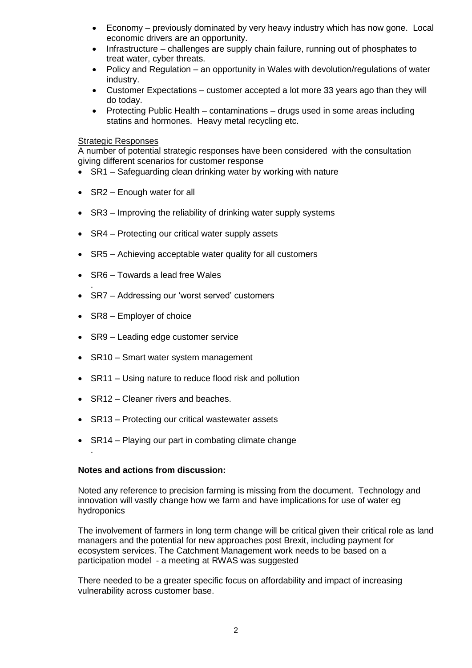- Economy previously dominated by very heavy industry which has now gone. Local economic drivers are an opportunity.
- Infrastructure challenges are supply chain failure, running out of phosphates to treat water, cyber threats.
- Policy and Regulation an opportunity in Wales with devolution/regulations of water industry.
- Customer Expectations customer accepted a lot more 33 years ago than they will do today.
- Protecting Public Health contaminations drugs used in some areas including statins and hormones. Heavy metal recycling etc.

#### Strategic Responses

A number of potential strategic responses have been considered with the consultation giving different scenarios for customer response

- SR1 Safeguarding clean drinking water by working with nature
- SR2 Enough water for all
- SR3 Improving the reliability of drinking water supply systems
- SR4 Protecting our critical water supply assets
- SR5 Achieving acceptable water quality for all customers
- SR6 Towards a lead free Wales
- SR7 Addressing our 'worst served' customers
- SR8 Employer of choice

.

.

- SR9 Leading edge customer service
- SR10 Smart water system management
- SR11 Using nature to reduce flood risk and pollution
- SR12 Cleaner rivers and beaches.
- SR13 Protecting our critical wastewater assets
- SR14 Playing our part in combating climate change

#### **Notes and actions from discussion:**

Noted any reference to precision farming is missing from the document. Technology and innovation will vastly change how we farm and have implications for use of water eg hydroponics

The involvement of farmers in long term change will be critical given their critical role as land managers and the potential for new approaches post Brexit, including payment for ecosystem services. The Catchment Management work needs to be based on a participation model - a meeting at RWAS was suggested

There needed to be a greater specific focus on affordability and impact of increasing vulnerability across customer base.